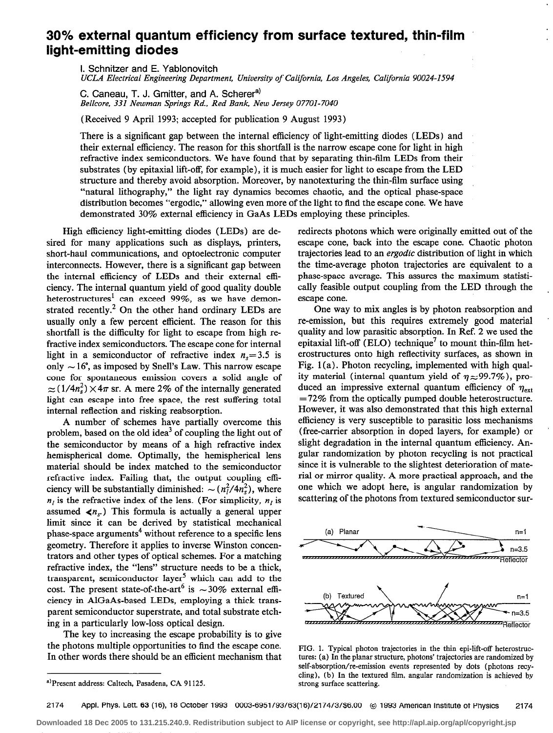## 30% external quantum efficiency from surface textured, thin-film light-emitting diodes

I. Schnitzer and E. Yablonovitch

UCLA Electrical Engineering Department, University of California, Los Angeles, California 90024-1594

C. Caneau, T. J. Gmitter, and A. Scherer<sup>a)</sup> Bellcore, 331 Newman Springs Rd., Red Bank, New Jersey 07701-7040

(Received 9 April 1993; accepted for publication 9 August 1993)

There is a significant gap between the internal efficiency of light-emitting diodes (LEDs) and their external efficiency. The reason for this shortfall is the narrow escape cone for light in high refractive index semiconductors. We have found that by separating thin-film LEDs from their substrates (by epitaxial lift-off, for example), it is much easier for light to escape from the LED structure and thereby avoid absorption. Moreover, by nanotexturing the thin-film surface using "natural lithography," the light ray dynamics becomes chaotic, and the optical phase-space distribution becomes "ergodic," allowing even more of the light to find the escape cone. We have demonstrated 30% external efficiency in GaAs LEDs employing these principles.

High efficiency light-emitting diodes (LEDs) are desired for many applications such as displays, printers, short-haul communications, and optoelectronic computer interconnects. However, there is a significant gap between the internal efficiency of LEDs and their external efliciency. The internal quantum yield of good quality double heterostructures<sup>1</sup> can exceed 99%, as we have demonstrated recently.<sup>2</sup> On the other hand ordinary LEDs are usually only a few percent efficient. The reason for this shortfall is the difficulty for light to escape from high refractive index semiconductors. The escape cone for internal light in a semiconductor of refractive index  $n<sub>s</sub>=3.5$  is only  $\sim 16^{\circ}$ , as imposed by Snell's Law. This narrow escape cone for spontaneous emission covers a solid angle of  $\approx (1/4n_s^2) \times 4\pi$  sr. A mere 2% of the internally generated light can escape into free space, the rest suffering total internal reflection and risking reabsorption.

A number of schemes have partially overcome this problem, based on the old idea<sup>3</sup> of coupling the light out of the semiconductor by means of a high refractive index hemispherical dome. Optimally, the hemispherical lens material should be index matched to the semiconductor refractive index. Failing that, the output coupling efficiency will be substantially diminished:  $\sim (n_1^2/4n_2^2)$ , where  $n_i$  is the refractive index of the lens. (For simplicity,  $n_i$  is assumed  $\langle n_{s} \rangle$ . This formula is actually a general upper limit since it can be derived by statistical mechanical phase-space arguments<sup>4</sup> without reference to a specific lens geometry. Therefore it applies to inverse Winston concentrators and other types of optical schemes. For a matching refractive index, the "lens" structure needs to be a thick, transparent, semiconductor layer<sup>5</sup> which can add to the cost. The present state-of-the-art<sup>6</sup> is  $\sim$ 30% external efficiency in AlGaAs-based LEDs, employing a thick transparent semiconductor superstrate, and total substrate etching in a particularly low-loss optical design.

The key to increasing the escape probability is to give the photons multiple opportunities to find the escape cone. In other words there should be an efficient mechanism that redirects photons which were originally emitted out of the escape cone, back into the escape cone. Chaotic photon trajectories lead to an ergodic distribution of light in which the time-average photon trajectories are equivalent to a phase-space average. This assures the maximum statistically feasible output coupling from the LED through the escape cone.

One way to mix angles is by photon reabsorption and re-emission, but this requires extremely good material quality and low parasitic absorption. In Ref. 2 we used the epitaxial lift-off (ELO) technique<sup>7</sup> to mount thin-film heterostructures onto high reflectivity surfaces, as shown in Fig. 1 (a). Photon recycling, implemented with high quality material (internal quantum yield of  $\eta \approx 99.7\%$ ), produced an impressive external quantum efficiency of  $\eta_{\text{ext}}$  $=72\%$  from the optically pumped double heterostructure. However, it was also demonstrated that this high external efficiency is very susceptible to parasitic loss mechanisms (free-carrier absorption in doped layers, for example) or slight degradation in the internal quantum efficiency. Angular randomization by photon recycling is not practical since it is vulnerable to the slightest deterioration of material or mirror quality. A more practical approach, and the one which we adopt here, is angular randomization by scattering of the photons from textured semiconductor sur-



FIG. 1. Typical photon trajectories in the thin epi-lift-off heterostructures: (a) In the planar structure, photons' trajectories are randomized by self-absorption/re-emission events represented by dots (photons recycling), (b) In the textured film, angular randomization is achieved by strong surface scattering.

**Downloaded 18 Dec 2005 to 131.215.240.9. Redistribution subject to AIP license or copyright, see http://apl.aip.org/apl/copyright.jsp**

a)Present address: Caltech, Pasadena, CA 91125.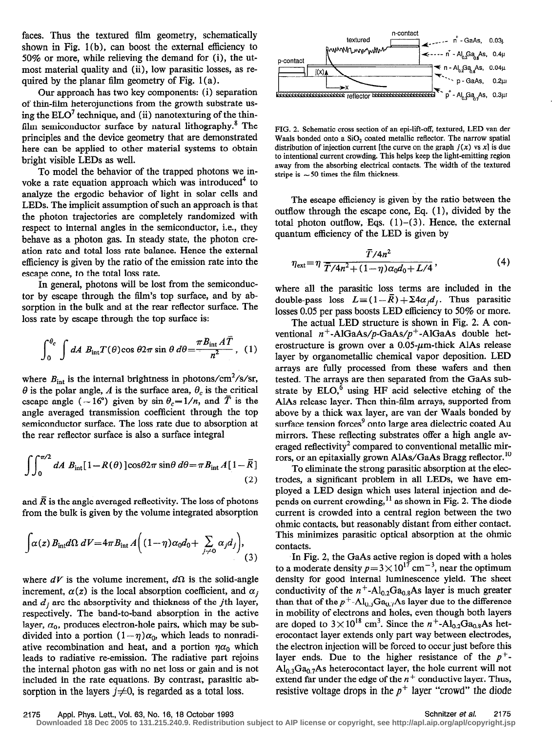faces. Thus the textured film geometry, schematically shown in Fig. 1(b), can boost the external efficiency to 50% or more, while relieving the demand for (i), the utmost material quality and (ii), low parasitic losses, as required by the planar film geometry of Fig.  $1(a)$ .

Our approach has two key components: (i) separation of thin-film heterojunctions from the growth substrate using the  $ELO<sup>7</sup>$  technique, and (ii) nanotexturing of the thinfilm semiconductor surface by natural lithography. $8$  The principles and the device geometry that are demonstrated here can be applied to other material systems to obtain bright visible LEDs as well.

To model the behavior of the trapped photons we invoke a rate equation approach which was introduced<sup>4</sup> to analyze the ergodic behavior of light in solar cells and LEDs. The implicit assumption of such an approach is that the photon trajectories are completely randomized with respect to internal angles in the semiconductor, i.e., they behave as a photon gas. In steady state, the photon creation rate and total loss rate balance. Hence the external efficiency is given by the ratio of the emission rate into the escape cone, to the total loss rate.

In general, photons will be lost from the semiconductor by escape through the film's top surface, and by absorption in the bulk and at the rear reflector surface. The loss rate by escape through the top surface is:

$$
\int_0^{\theta_c} \int dA B_{\rm int} T(\theta) \cos \theta 2\pi \sin \theta \, d\theta = \frac{\pi B_{\rm int} A \overline{T}}{n^2}, \quad (1)
$$

where  $B_{\text{int}}$  is the internal brightness in photons/cm<sup>2</sup>/s/sr,  $\theta$  is the polar angle, A is the surface area,  $\theta_c$  is the critical escape angle ( $\sim 16^{\circ}$ ) given by sin  $\theta_c = 1/n$ , and  $\overline{T}$  is the angle averaged transmission coefficient through the top semiconductor surface. The loss rate due to absorption at the rear reflector surface is also a surface integral

$$
\int_{0}^{\pi/2} dA B_{int}[1 - R(\theta)] \cos \theta 2\pi \sin \theta d\theta = \pi B_{int} A[1 - \overline{R}]
$$
\n(2)

and  $\overline{R}$  is the angle averaged reflectivity. The loss of photons from the bulk is given by the volume integrated absorption

$$
\int \alpha(z) B_{\rm int} d\Omega \ dV = 4\pi B_{\rm int} A \Big( (1 - \eta) \alpha_0 d_0 + \sum_{j \neq 0} \alpha_j d_j \Big), \tag{3}
$$

where  $dV$  is the volume increment,  $d\Omega$  is the solid-angle increment,  $\alpha(z)$  is the local absorption coefficient, and  $\alpha_i$ and  $d_i$  are the absorptivity and thickness of the *j*th layer, respectively. The band-to-band absorption in the active layer,  $\alpha_0$ , produces electron-hole pairs, which may be subdivided into a portion  $(1 - \eta)\alpha_0$ , which leads to nonradiative recombination and heat, and a portion  $\eta a_0$  which leads to radiative re-emission. The radiative part rejoins the internal photon gas with no net loss or gain and is not included in the rate equations. By contrast, parasitic absorption in the layers  $j\neq 0$ , is regarded as a total loss.



FIG. 2. Schematic cross section of an epi-lift-off, textured, LED van der Waals bonded onto a  $SiO<sub>2</sub>$  coated metallic reflector. The narrow spatial distribution of injection current [the curve on the graph  $j(x)$  vs x] is due to intentional current crowding. This helps keep the light-emitting region away from the absorbing electrical contacts. The width of the textured stripe is  $\sim$  50 times the film thickness.

The escape efficiency is given by the ratio between the outflow through the escape cone, Eq. ( 1 ), divided by the total photon outflow, Eqs.  $(1)$ – $(3)$ . Hence, the external quantum efficiency of the LED is given by

$$
\eta_{\text{ext}} = \eta \, \frac{\bar{T}/4n^2}{\bar{T}/4n^2 + (1-\eta)\alpha_0 d_0 + L/4},\tag{4}
$$

where all the parasitic loss terms are included in the double-pass loss  $L = (1 - \overline{R}) + \sum 4a_j d_j$ . Thus parasitic losses 0.05 per pass boosts LED efficiency to 50% or more.

The actual LED structure is shown in Fig. 2. A conventional  $n^+$ -AlGaAs/p-GaAs/p<sup>+</sup>-AlGaAs double heterostructure is grown over a  $0.05$ - $\mu$ m-thick AlAs release layer by organometallic chemical vapor deposition. LED arrays are fully processed from these wafers and then tested. The arrays are then separated from the GaAs substrate by  $ELO$ <sup>6</sup> using HF acid selective etching of the AlAs release layer. Then thin-film arrays, supported from above by a thick wax layer, are van der Waals bonded by surface tension forces<sup>9</sup> onto large area dielectric coated Au mirrors. These reflecting substrates offer a high angle averaged reflectivity<sup>2</sup> compared to conventional metallic mirrors, or an epitaxially grown AlAs/GaAs Bragg reflector.<sup>10</sup>

To eliminate the strong parasitic absorption at the electrodes, a significant problem in all LEDs, we have employed a LED design which uses lateral injection and depends on current crowding,  $11$  as shown in Fig. 2. The diode current is crowded into a central region between the two ohmic contacts, but reasonably distant from either contact. This minimizes parasitic optical absorption at the ohmic contacts.

In Fig. 2, the GaAs active region is doped with a holes to a moderate density  $p=3\times 10^{17}$  cm<sup>-3</sup>, near the optimum density for good internal luminescence yield. The sheet conductivity of the  $n^+$ -Al<sub>0.2</sub>Ga<sub>0.8</sub>As layer is much greater than that of the  $p^+$ -Al<sub>0.3</sub>Ga<sub>0.7</sub>As layer due to the difference in mobility of electrons and holes, even though both layers are doped to  $3 \times 10^{18}$  cm<sup>3</sup>. Since the n<sup>+</sup>-Al<sub>0.2</sub>Ga<sub>0.8</sub>As heterocontact layer extends only part way between electrodes, the electron injection will be forced to occur just before this layer ends. Due to the higher resistance of the  $p^+$ - $Al<sub>0.3</sub>Ga<sub>0.7</sub>As heterocontact layer, the hole current will not$ extend far under the edge of the  $n^+$  conductive layer. Thus, resistive voltage drops in the  $p^+$  layer "crowd" the diode

2175 Appl. Phys. Lett., Vol. 63, No. 16, 18 October 1993 Schnitzer et al. 2175

**Downloaded 18 Dec 2005 to 131.215.240.9. Redistribution subject to AIP license or copyright, see http://apl.aip.org/apl/copyright.jsp**